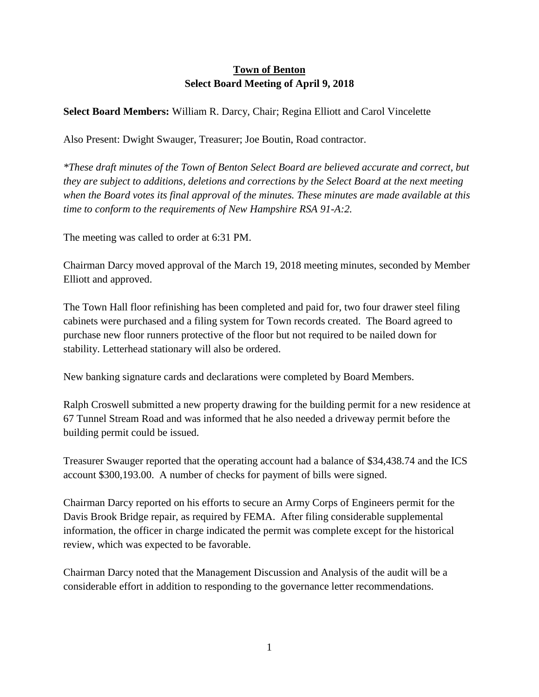## **Town of Benton Select Board Meeting of April 9, 2018**

## **Select Board Members:** William R. Darcy, Chair; Regina Elliott and Carol Vincelette

Also Present: Dwight Swauger, Treasurer; Joe Boutin, Road contractor.

*\*These draft minutes of the Town of Benton Select Board are believed accurate and correct, but they are subject to additions, deletions and corrections by the Select Board at the next meeting when the Board votes its final approval of the minutes. These minutes are made available at this time to conform to the requirements of New Hampshire RSA 91-A:2.*

The meeting was called to order at 6:31 PM.

Chairman Darcy moved approval of the March 19, 2018 meeting minutes, seconded by Member Elliott and approved.

The Town Hall floor refinishing has been completed and paid for, two four drawer steel filing cabinets were purchased and a filing system for Town records created. The Board agreed to purchase new floor runners protective of the floor but not required to be nailed down for stability. Letterhead stationary will also be ordered.

New banking signature cards and declarations were completed by Board Members.

Ralph Croswell submitted a new property drawing for the building permit for a new residence at 67 Tunnel Stream Road and was informed that he also needed a driveway permit before the building permit could be issued.

Treasurer Swauger reported that the operating account had a balance of \$34,438.74 and the ICS account \$300,193.00. A number of checks for payment of bills were signed.

Chairman Darcy reported on his efforts to secure an Army Corps of Engineers permit for the Davis Brook Bridge repair, as required by FEMA. After filing considerable supplemental information, the officer in charge indicated the permit was complete except for the historical review, which was expected to be favorable.

Chairman Darcy noted that the Management Discussion and Analysis of the audit will be a considerable effort in addition to responding to the governance letter recommendations.